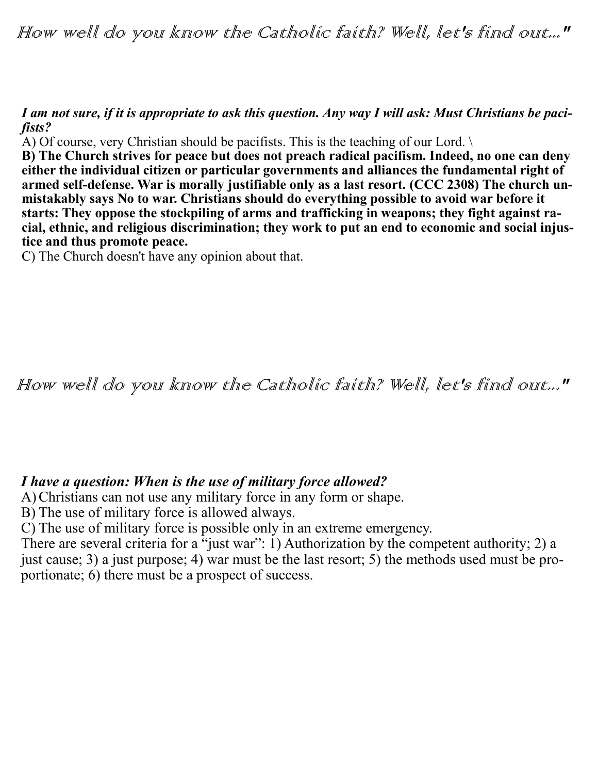How well do you know the Catholic faith? Well, let's find out..."

*I am not sure, if it is appropriate to ask this question. Any way I will ask: Must Christians be pacifists?*

A) Of course, very Christian should be pacifists. This is the teaching of our Lord. \

**B) The Church strives for peace but does not preach radical pacifism. Indeed, no one can deny either the individual citizen or particular governments and alliances the fundamental right of armed self-defense. War is morally justifiable only as a last resort. (CCC 2308) The church unmistakably says No to war. Christians should do everything possible to avoid war before it starts: They oppose the stockpiling of arms and trafficking in weapons; they fight against racial, ethnic, and religious discrimination; they work to put an end to economic and social injustice and thus promote peace.**

C) The Church doesn't have any opinion about that.

## How well do you know the Catholic faith? Well, let's find out..."

## *I have a question: When is the use of military force allowed?*

A)Christians can not use any military force in any form or shape.

B) The use of military force is allowed always.

C) The use of military force is possible only in an extreme emergency.

There are several criteria for a "just war": 1) Authorization by the competent authority; 2) a just cause; 3) a just purpose; 4) war must be the last resort; 5) the methods used must be proportionate; 6) there must be a prospect of success.